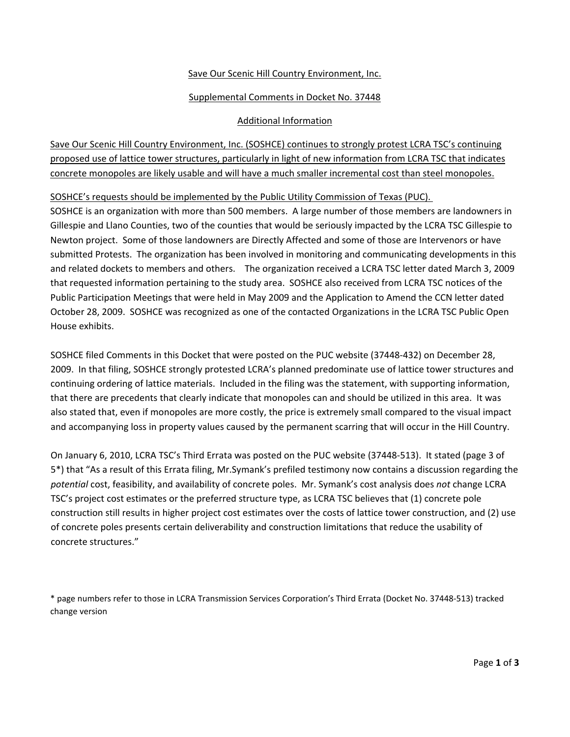### Save Our Scenic Hill Country Environment, Inc.

### Supplemental Comments in Docket No. 37448

### Additional Information

Save Our Scenic Hill Country Environment, Inc. (SOSHCE) continues to strongly protest LCRA TSC's continuing proposed use of lattice tower structures, particularly in light of new information from LCRA TSC that indicates concrete monopoles are likely usable and will have a much smaller incremental cost than steel monopoles.

SOSHCE's requests should be implemented by the Public Utility Commission of Texas (PUC).

SOSHCE is an organization with more than 500 members. A large number of those members are landowners in Gillespie and Llano Counties, two of the counties that would be seriously impacted by the LCRA TSC Gillespie to Newton project. Some of those landowners are Directly Affected and some of those are Intervenors or have submitted Protests. The organization has been involved in monitoring and communicating developments in this and related dockets to members and others. The organization received a LCRA TSC letter dated March 3, 2009 that requested information pertaining to the study area. SOSHCE also received from LCRA TSC notices of the Public Participation Meetings that were held in May 2009 and the Application to Amend the CCN letter dated October 28, 2009. SOSHCE was recognized as one of the contacted Organizations in the LCRA TSC Public Open House exhibits.

SOSHCE filed Comments in this Docket that were posted on the PUC website (37448‐432) on December 28, 2009. In that filing, SOSHCE strongly protested LCRA's planned predominate use of lattice tower structures and continuing ordering of lattice materials. Included in the filing was the statement, with supporting information, that there are precedents that clearly indicate that monopoles can and should be utilized in this area. It was also stated that, even if monopoles are more costly, the price is extremely small compared to the visual impact and accompanying loss in property values caused by the permanent scarring that will occur in the Hill Country.

On January 6, 2010, LCRA TSC's Third Errata was posted on the PUC website (37448‐513). It stated (page 3 of 5\*) that "As a result of this Errata filing, Mr.Symank's prefiled testimony now contains a discussion regarding the *potential* cost, feasibility, and availability of concrete poles. Mr. Symank's cost analysis does *not* change LCRA TSC's project cost estimates or the preferred structure type, as LCRA TSC believes that (1) concrete pole construction still results in higher project cost estimates over the costs of lattice tower construction, and (2) use of concrete poles presents certain deliverability and construction limitations that reduce the usability of concrete structures."

\* page numbers refer to those in LCRA Transmission Services Corporation's Third Errata (Docket No. 37448‐513) tracked change version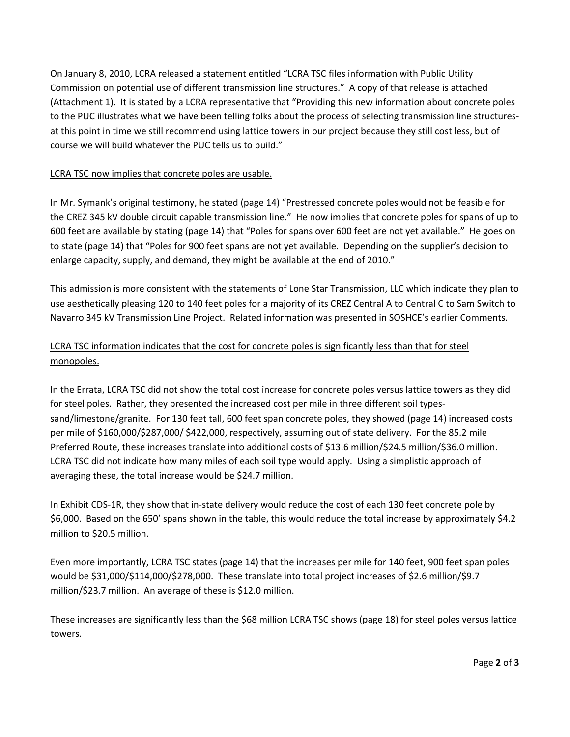On January 8, 2010, LCRA released a statement entitled "LCRA TSC files information with Public Utility Commission on potential use of different transmission line structures." A copy of that release is attached (Attachment 1). It is stated by a LCRA representative that "Providing this new information about concrete poles to the PUC illustrates what we have been telling folks about the process of selecting transmission line structures‐ at this point in time we still recommend using lattice towers in our project because they still cost less, but of course we will build whatever the PUC tells us to build."

## LCRA TSC now implies that concrete poles are usable.

In Mr. Symank's original testimony, he stated (page 14) "Prestressed concrete poles would not be feasible for the CREZ 345 kV double circuit capable transmission line." He now implies that concrete poles for spans of up to 600 feet are available by stating (page 14) that "Poles for spans over 600 feet are not yet available." He goes on to state (page 14) that "Poles for 900 feet spans are not yet available. Depending on the supplier's decision to enlarge capacity, supply, and demand, they might be available at the end of 2010."

This admission is more consistent with the statements of Lone Star Transmission, LLC which indicate they plan to use aesthetically pleasing 120 to 140 feet poles for a majority of its CREZ Central A to Central C to Sam Switch to Navarro 345 kV Transmission Line Project. Related information was presented in SOSHCE's earlier Comments.

# LCRA TSC information indicates that the cost for concrete poles is significantly less than that for steel monopoles.

In the Errata, LCRA TSC did not show the total cost increase for concrete poles versus lattice towers as they did for steel poles. Rather, they presented the increased cost per mile in three different soil typessand/limestone/granite. For 130 feet tall, 600 feet span concrete poles, they showed (page 14) increased costs per mile of \$160,000/\$287,000/ \$422,000, respectively, assuming out of state delivery. For the 85.2 mile Preferred Route, these increases translate into additional costs of \$13.6 million/\$24.5 million/\$36.0 million. LCRA TSC did not indicate how many miles of each soil type would apply. Using a simplistic approach of averaging these, the total increase would be \$24.7 million.

In Exhibit CDS‐1R, they show that in‐state delivery would reduce the cost of each 130 feet concrete pole by \$6,000. Based on the 650' spans shown in the table, this would reduce the total increase by approximately \$4.2 million to \$20.5 million.

Even more importantly, LCRA TSC states (page 14) that the increases per mile for 140 feet, 900 feet span poles would be \$31,000/\$114,000/\$278,000. These translate into total project increases of \$2.6 million/\$9.7 million/\$23.7 million. An average of these is \$12.0 million.

These increases are significantly less than the \$68 million LCRA TSC shows (page 18) for steel poles versus lattice towers.